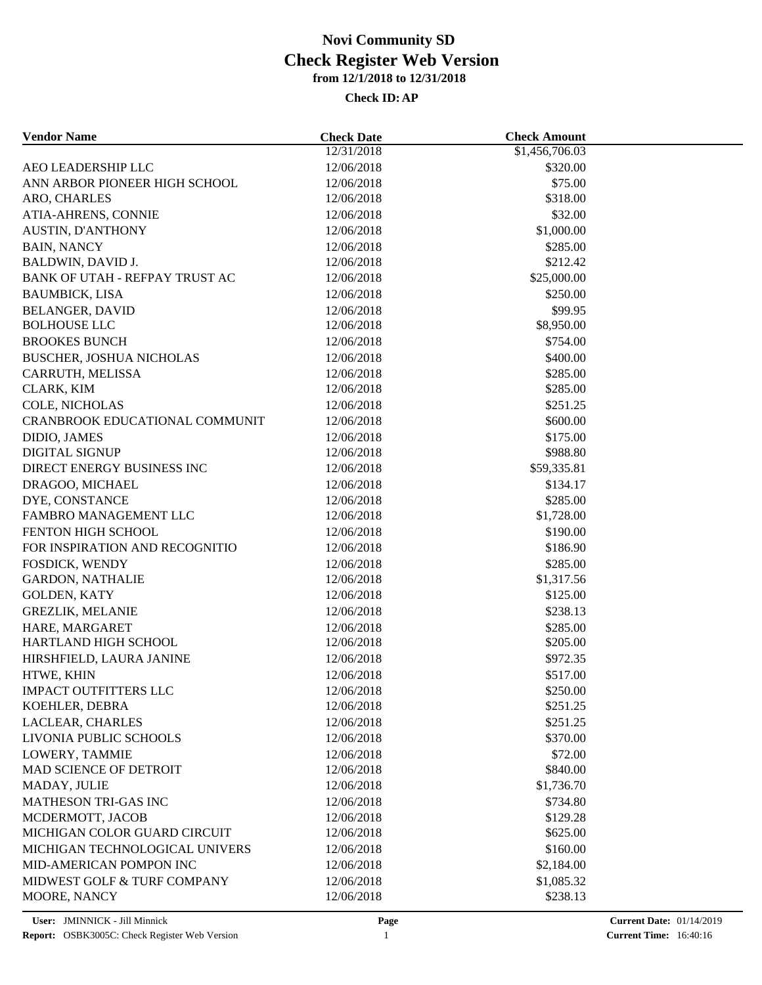| <b>Vendor Name</b>                    | <b>Check Date</b> | <b>Check Amount</b> |  |
|---------------------------------------|-------------------|---------------------|--|
|                                       | 12/31/2018        | \$1,456,706.03      |  |
| AEO LEADERSHIP LLC                    | 12/06/2018        | \$320.00            |  |
| ANN ARBOR PIONEER HIGH SCHOOL         | 12/06/2018        | \$75.00             |  |
| ARO, CHARLES                          | 12/06/2018        | \$318.00            |  |
| ATIA-AHRENS, CONNIE                   | 12/06/2018        | \$32.00             |  |
| <b>AUSTIN, D'ANTHONY</b>              | 12/06/2018        | \$1,000.00          |  |
| <b>BAIN, NANCY</b>                    | 12/06/2018        | \$285.00            |  |
| <b>BALDWIN, DAVID J.</b>              | 12/06/2018        | \$212.42            |  |
| <b>BANK OF UTAH - REFPAY TRUST AC</b> | 12/06/2018        | \$25,000.00         |  |
| <b>BAUMBICK, LISA</b>                 | 12/06/2018        | \$250.00            |  |
| <b>BELANGER, DAVID</b>                | 12/06/2018        | \$99.95             |  |
| <b>BOLHOUSE LLC</b>                   | 12/06/2018        | \$8,950.00          |  |
| <b>BROOKES BUNCH</b>                  | 12/06/2018        | \$754.00            |  |
| BUSCHER, JOSHUA NICHOLAS              | 12/06/2018        | \$400.00            |  |
| CARRUTH, MELISSA                      | 12/06/2018        | \$285.00            |  |
| CLARK, KIM                            | 12/06/2018        | \$285.00            |  |
| COLE, NICHOLAS                        | 12/06/2018        | \$251.25            |  |
| CRANBROOK EDUCATIONAL COMMUNIT        | 12/06/2018        | \$600.00            |  |
| DIDIO, JAMES                          | 12/06/2018        | \$175.00            |  |
| <b>DIGITAL SIGNUP</b>                 | 12/06/2018        | \$988.80            |  |
| DIRECT ENERGY BUSINESS INC            | 12/06/2018        | \$59,335.81         |  |
| DRAGOO, MICHAEL                       | 12/06/2018        | \$134.17            |  |
| DYE, CONSTANCE                        | 12/06/2018        | \$285.00            |  |
| FAMBRO MANAGEMENT LLC                 | 12/06/2018        | \$1,728.00          |  |
| FENTON HIGH SCHOOL                    | 12/06/2018        | \$190.00            |  |
| FOR INSPIRATION AND RECOGNITIO        | 12/06/2018        | \$186.90            |  |
| FOSDICK, WENDY                        | 12/06/2018        | \$285.00            |  |
| <b>GARDON, NATHALIE</b>               | 12/06/2018        | \$1,317.56          |  |
| <b>GOLDEN, KATY</b>                   | 12/06/2018        | \$125.00            |  |
| <b>GREZLIK, MELANIE</b>               | 12/06/2018        | \$238.13            |  |
| HARE, MARGARET                        |                   | \$285.00            |  |
| HARTLAND HIGH SCHOOL                  | 12/06/2018        | \$205.00            |  |
| HIRSHFIELD, LAURA JANINE              | 12/06/2018        |                     |  |
|                                       | 12/06/2018        | \$972.35            |  |
| HTWE, KHIN                            | 12/06/2018        | \$517.00            |  |
| <b>IMPACT OUTFITTERS LLC</b>          | 12/06/2018        | \$250.00            |  |
| KOEHLER, DEBRA                        | 12/06/2018        | \$251.25            |  |
| LACLEAR, CHARLES                      | 12/06/2018        | \$251.25            |  |
| LIVONIA PUBLIC SCHOOLS                | 12/06/2018        | \$370.00            |  |
| LOWERY, TAMMIE                        | 12/06/2018        | \$72.00             |  |
| MAD SCIENCE OF DETROIT                | 12/06/2018        | \$840.00            |  |
| MADAY, JULIE                          | 12/06/2018        | \$1,736.70          |  |
| <b>MATHESON TRI-GAS INC</b>           | 12/06/2018        | \$734.80            |  |
| MCDERMOTT, JACOB                      | 12/06/2018        | \$129.28            |  |
| MICHIGAN COLOR GUARD CIRCUIT          | 12/06/2018        | \$625.00            |  |
| MICHIGAN TECHNOLOGICAL UNIVERS        | 12/06/2018        | \$160.00            |  |
| MID-AMERICAN POMPON INC               | 12/06/2018        | \$2,184.00          |  |
| MIDWEST GOLF & TURF COMPANY           | 12/06/2018        | \$1,085.32          |  |
| MOORE, NANCY                          | 12/06/2018        | \$238.13            |  |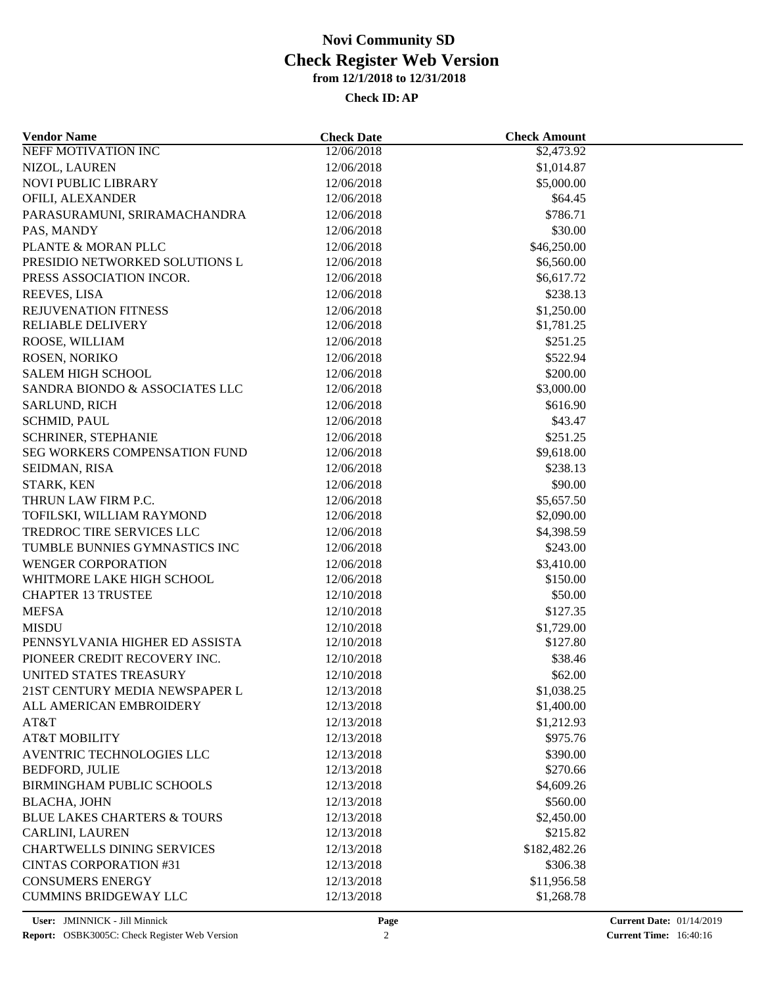| <b>Vendor Name</b>                                          | <b>Check Date</b> | <b>Check Amount</b> |  |
|-------------------------------------------------------------|-------------------|---------------------|--|
| <b>NEFF MOTIVATION INC</b>                                  | 12/06/2018        | \$2,473.92          |  |
| NIZOL, LAUREN                                               | 12/06/2018        | \$1,014.87          |  |
| NOVI PUBLIC LIBRARY                                         | 12/06/2018        | \$5,000.00          |  |
| OFILI, ALEXANDER                                            | 12/06/2018        | \$64.45             |  |
| PARASURAMUNI, SRIRAMACHANDRA                                | 12/06/2018        | \$786.71            |  |
| PAS, MANDY                                                  | 12/06/2018        | \$30.00             |  |
| PLANTE & MORAN PLLC                                         | 12/06/2018        | \$46,250.00         |  |
| PRESIDIO NETWORKED SOLUTIONS L                              | 12/06/2018        | \$6,560.00          |  |
| PRESS ASSOCIATION INCOR.                                    | 12/06/2018        | \$6,617.72          |  |
| REEVES, LISA                                                | 12/06/2018        | \$238.13            |  |
| REJUVENATION FITNESS                                        | 12/06/2018        | \$1,250.00          |  |
| <b>RELIABLE DELIVERY</b>                                    | 12/06/2018        | \$1,781.25          |  |
| ROOSE, WILLIAM                                              | 12/06/2018        | \$251.25            |  |
| ROSEN, NORIKO                                               | 12/06/2018        | \$522.94            |  |
| <b>SALEM HIGH SCHOOL</b>                                    | 12/06/2018        | \$200.00            |  |
| SANDRA BIONDO & ASSOCIATES LLC                              | 12/06/2018        | \$3,000.00          |  |
| <b>SARLUND, RICH</b>                                        | 12/06/2018        | \$616.90            |  |
| <b>SCHMID, PAUL</b>                                         | 12/06/2018        | \$43.47             |  |
|                                                             | 12/06/2018        | \$251.25            |  |
| SCHRINER, STEPHANIE<br><b>SEG WORKERS COMPENSATION FUND</b> | 12/06/2018        | \$9,618.00          |  |
|                                                             |                   |                     |  |
| SEIDMAN, RISA                                               | 12/06/2018        | \$238.13            |  |
| STARK, KEN                                                  | 12/06/2018        | \$90.00             |  |
| THRUN LAW FIRM P.C.                                         | 12/06/2018        | \$5,657.50          |  |
| TOFILSKI, WILLIAM RAYMOND                                   | 12/06/2018        | \$2,090.00          |  |
| TREDROC TIRE SERVICES LLC                                   | 12/06/2018        | \$4,398.59          |  |
| TUMBLE BUNNIES GYMNASTICS INC                               | 12/06/2018        | \$243.00            |  |
| <b>WENGER CORPORATION</b>                                   | 12/06/2018        | \$3,410.00          |  |
| WHITMORE LAKE HIGH SCHOOL                                   | 12/06/2018        | \$150.00            |  |
| <b>CHAPTER 13 TRUSTEE</b>                                   | 12/10/2018        | \$50.00             |  |
| <b>MEFSA</b>                                                | 12/10/2018        | \$127.35            |  |
| <b>MISDU</b>                                                | 12/10/2018        | \$1,729.00          |  |
| PENNSYLVANIA HIGHER ED ASSISTA                              | 12/10/2018        | \$127.80            |  |
| PIONEER CREDIT RECOVERY INC.                                | 12/10/2018        | \$38.46             |  |
| UNITED STATES TREASURY                                      | 12/10/2018        | \$62.00             |  |
| 21ST CENTURY MEDIA NEWSPAPER L                              | 12/13/2018        | \$1,038.25          |  |
| ALL AMERICAN EMBROIDERY                                     | 12/13/2018        | \$1,400.00          |  |
| AT&T                                                        | 12/13/2018        | \$1,212.93          |  |
| <b>AT&amp;T MOBILITY</b>                                    | 12/13/2018        | \$975.76            |  |
| AVENTRIC TECHNOLOGIES LLC                                   | 12/13/2018        | \$390.00            |  |
| <b>BEDFORD, JULIE</b>                                       | 12/13/2018        | \$270.66            |  |
| BIRMINGHAM PUBLIC SCHOOLS                                   | 12/13/2018        | \$4,609.26          |  |
| <b>BLACHA, JOHN</b>                                         | 12/13/2018        | \$560.00            |  |
| <b>BLUE LAKES CHARTERS &amp; TOURS</b>                      | 12/13/2018        | \$2,450.00          |  |
| CARLINI, LAUREN                                             | 12/13/2018        | \$215.82            |  |
| <b>CHARTWELLS DINING SERVICES</b>                           | 12/13/2018        | \$182,482.26        |  |
| <b>CINTAS CORPORATION #31</b>                               | 12/13/2018        | \$306.38            |  |
| <b>CONSUMERS ENERGY</b>                                     | 12/13/2018        | \$11,956.58         |  |
| <b>CUMMINS BRIDGEWAY LLC</b>                                | 12/13/2018        | \$1,268.78          |  |
|                                                             |                   |                     |  |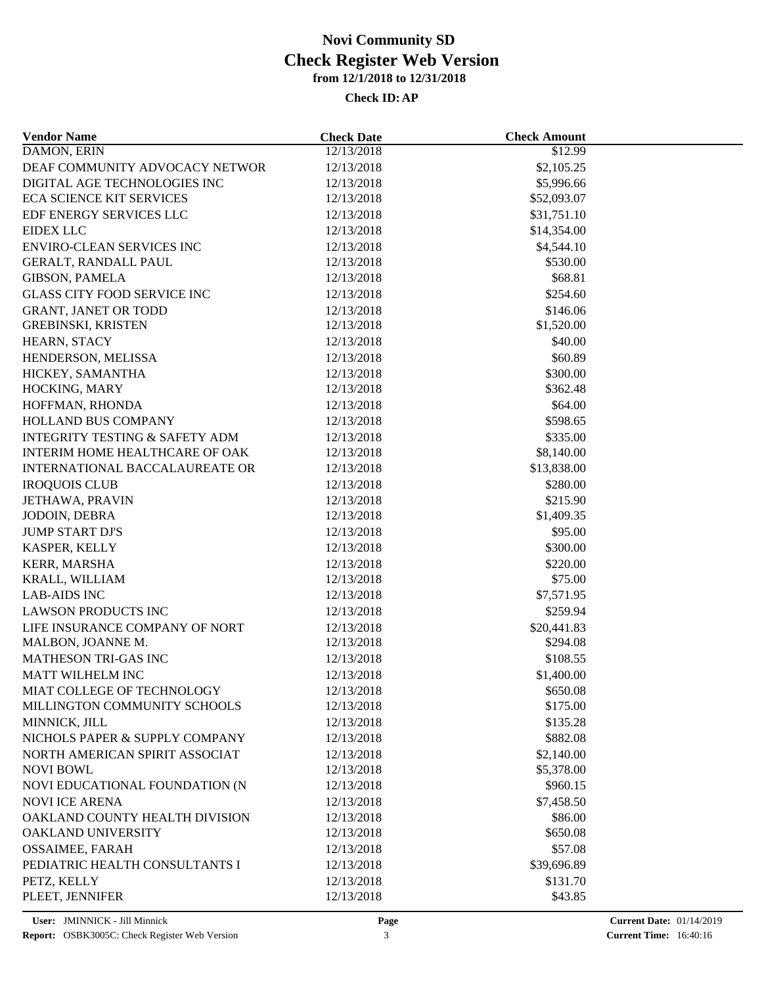| <b>Vendor Name</b>                        | <b>Check Date</b> | <b>Check Amount</b> |  |
|-------------------------------------------|-------------------|---------------------|--|
| DAMON, ERIN                               | 12/13/2018        | \$12.99             |  |
| DEAF COMMUNITY ADVOCACY NETWOR            | 12/13/2018        | \$2,105.25          |  |
| DIGITAL AGE TECHNOLOGIES INC              | 12/13/2018        | \$5,996.66          |  |
| <b>ECA SCIENCE KIT SERVICES</b>           | 12/13/2018        | \$52,093.07         |  |
| EDF ENERGY SERVICES LLC                   | 12/13/2018        | \$31,751.10         |  |
| <b>EIDEX LLC</b>                          | 12/13/2018        | \$14,354.00         |  |
| <b>ENVIRO-CLEAN SERVICES INC</b>          | 12/13/2018        | \$4,544.10          |  |
| GERALT, RANDALL PAUL                      | 12/13/2018        | \$530.00            |  |
| <b>GIBSON, PAMELA</b>                     | 12/13/2018        | \$68.81             |  |
| <b>GLASS CITY FOOD SERVICE INC</b>        | 12/13/2018        | \$254.60            |  |
| <b>GRANT, JANET OR TODD</b>               | 12/13/2018        | \$146.06            |  |
| <b>GREBINSKI, KRISTEN</b>                 | 12/13/2018        | \$1,520.00          |  |
| HEARN, STACY                              | 12/13/2018        | \$40.00             |  |
| HENDERSON, MELISSA                        | 12/13/2018        | \$60.89             |  |
| HICKEY, SAMANTHA                          | 12/13/2018        | \$300.00            |  |
| HOCKING, MARY                             | 12/13/2018        | \$362.48            |  |
| HOFFMAN, RHONDA                           | 12/13/2018        | \$64.00             |  |
| HOLLAND BUS COMPANY                       | 12/13/2018        | \$598.65            |  |
| <b>INTEGRITY TESTING &amp; SAFETY ADM</b> | 12/13/2018        | \$335.00            |  |
| <b>INTERIM HOME HEALTHCARE OF OAK</b>     | 12/13/2018        | \$8,140.00          |  |
| <b>INTERNATIONAL BACCALAUREATE OR</b>     | 12/13/2018        | \$13,838.00         |  |
| <b>IROQUOIS CLUB</b>                      | 12/13/2018        | \$280.00            |  |
| <b>JETHAWA, PRAVIN</b>                    | 12/13/2018        | \$215.90            |  |
| JODOIN, DEBRA                             | 12/13/2018        | \$1,409.35          |  |
| <b>JUMP START DJ'S</b>                    | 12/13/2018        | \$95.00             |  |
| KASPER, KELLY                             | 12/13/2018        | \$300.00            |  |
| <b>KERR, MARSHA</b>                       | 12/13/2018        | \$220.00            |  |
| KRALL, WILLIAM                            | 12/13/2018        | \$75.00             |  |
| <b>LAB-AIDS INC</b>                       | 12/13/2018        | \$7,571.95          |  |
| <b>LAWSON PRODUCTS INC</b>                | 12/13/2018        | \$259.94            |  |
| LIFE INSURANCE COMPANY OF NORT            | 12/13/2018        | \$20,441.83         |  |
| MALBON, JOANNE M.                         | 12/13/2018        | \$294.08            |  |
| MATHESON TRI-GAS INC                      | 12/13/2018        | \$108.55            |  |
| MATT WILHELM INC                          | 12/13/2018        | \$1,400.00          |  |
| MIAT COLLEGE OF TECHNOLOGY                | 12/13/2018        | \$650.08            |  |
| MILLINGTON COMMUNITY SCHOOLS              | 12/13/2018        | \$175.00            |  |
| MINNICK, JILL                             | 12/13/2018        | \$135.28            |  |
|                                           |                   |                     |  |
| NICHOLS PAPER & SUPPLY COMPANY            | 12/13/2018        | \$882.08            |  |
| NORTH AMERICAN SPIRIT ASSOCIAT            | 12/13/2018        | \$2,140.00          |  |
| <b>NOVI BOWL</b>                          | 12/13/2018        | \$5,378.00          |  |
| NOVI EDUCATIONAL FOUNDATION (N            | 12/13/2018        | \$960.15            |  |
| <b>NOVI ICE ARENA</b>                     | 12/13/2018        | \$7,458.50          |  |
| OAKLAND COUNTY HEALTH DIVISION            | 12/13/2018        | \$86.00             |  |
| OAKLAND UNIVERSITY                        | 12/13/2018        | \$650.08            |  |
| <b>OSSAIMEE, FARAH</b>                    | 12/13/2018        | \$57.08             |  |
| PEDIATRIC HEALTH CONSULTANTS I            | 12/13/2018        | \$39,696.89         |  |
| PETZ, KELLY                               | 12/13/2018        | \$131.70            |  |
| PLEET, JENNIFER                           | 12/13/2018        | \$43.85             |  |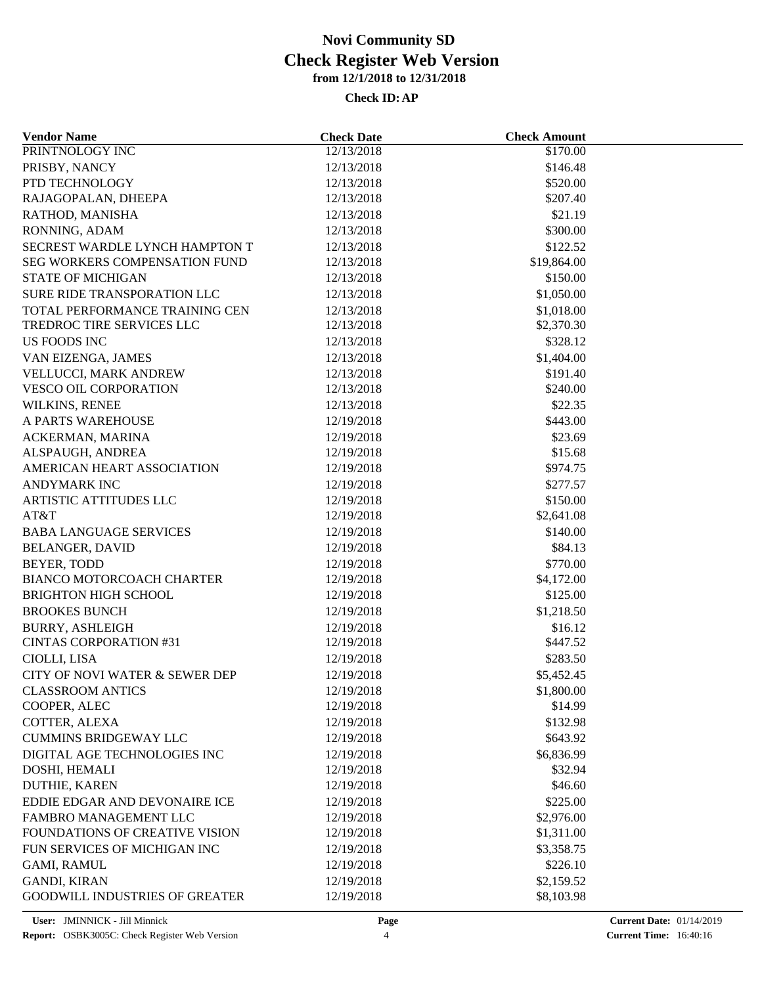| <b>Vendor Name</b>                      | <b>Check Date</b>        | <b>Check Amount</b> |  |
|-----------------------------------------|--------------------------|---------------------|--|
| PRINTNOLOGY INC                         | 12/13/2018               | \$170.00            |  |
| PRISBY, NANCY                           | 12/13/2018               | \$146.48            |  |
| PTD TECHNOLOGY                          | 12/13/2018               | \$520.00            |  |
| RAJAGOPALAN, DHEEPA                     | 12/13/2018               | \$207.40            |  |
| RATHOD, MANISHA                         | 12/13/2018               | \$21.19             |  |
| RONNING, ADAM                           | 12/13/2018               | \$300.00            |  |
| SECREST WARDLE LYNCH HAMPTON T          | 12/13/2018               | \$122.52            |  |
| SEG WORKERS COMPENSATION FUND           | 12/13/2018               | \$19,864.00         |  |
| <b>STATE OF MICHIGAN</b>                | 12/13/2018               | \$150.00            |  |
| SURE RIDE TRANSPORATION LLC             | 12/13/2018               | \$1,050.00          |  |
| TOTAL PERFORMANCE TRAINING CEN          | 12/13/2018               | \$1,018.00          |  |
| TREDROC TIRE SERVICES LLC               | 12/13/2018               | \$2,370.30          |  |
| <b>US FOODS INC</b>                     | 12/13/2018               | \$328.12            |  |
| VAN EIZENGA, JAMES                      | 12/13/2018               | \$1,404.00          |  |
| VELLUCCI, MARK ANDREW                   | 12/13/2018               | \$191.40            |  |
| VESCO OIL CORPORATION                   | 12/13/2018               | \$240.00            |  |
| WILKINS, RENEE                          | 12/13/2018               | \$22.35             |  |
| A PARTS WAREHOUSE                       | 12/19/2018               | \$443.00            |  |
| ACKERMAN, MARINA                        | 12/19/2018               | \$23.69             |  |
| ALSPAUGH, ANDREA                        | 12/19/2018               | \$15.68             |  |
| AMERICAN HEART ASSOCIATION              | 12/19/2018               | \$974.75            |  |
| <b>ANDYMARK INC</b>                     | 12/19/2018               | \$277.57            |  |
| ARTISTIC ATTITUDES LLC                  | 12/19/2018               | \$150.00            |  |
| AT&T                                    | 12/19/2018               | \$2,641.08          |  |
| <b>BABA LANGUAGE SERVICES</b>           | 12/19/2018               | \$140.00            |  |
| <b>BELANGER, DAVID</b>                  | 12/19/2018               | \$84.13             |  |
| BEYER, TODD                             | 12/19/2018               | \$770.00            |  |
| BIANCO MOTORCOACH CHARTER               | 12/19/2018               | \$4,172.00          |  |
| <b>BRIGHTON HIGH SCHOOL</b>             | 12/19/2018               | \$125.00            |  |
| <b>BROOKES BUNCH</b>                    | 12/19/2018               | \$1,218.50          |  |
| <b>BURRY, ASHLEIGH</b>                  |                          | \$16.12             |  |
| <b>CINTAS CORPORATION #31</b>           | 12/19/2018<br>12/19/2018 | \$447.52            |  |
| CIOLLI, LISA                            | 12/19/2018               | \$283.50            |  |
| CITY OF NOVI WATER & SEWER DEP          | 12/19/2018               |                     |  |
|                                         |                          | \$5,452.45          |  |
| <b>CLASSROOM ANTICS</b><br>COOPER, ALEC | 12/19/2018               | \$1,800.00          |  |
|                                         | 12/19/2018<br>12/19/2018 | \$14.99             |  |
| COTTER, ALEXA                           |                          | \$132.98            |  |
| <b>CUMMINS BRIDGEWAY LLC</b>            | 12/19/2018               | \$643.92            |  |
| DIGITAL AGE TECHNOLOGIES INC            | 12/19/2018               | \$6,836.99          |  |
| DOSHI, HEMALI                           | 12/19/2018               | \$32.94             |  |
| <b>DUTHIE, KAREN</b>                    | 12/19/2018               | \$46.60             |  |
| EDDIE EDGAR AND DEVONAIRE ICE           | 12/19/2018               | \$225.00            |  |
| FAMBRO MANAGEMENT LLC                   | 12/19/2018               | \$2,976.00          |  |
| <b>FOUNDATIONS OF CREATIVE VISION</b>   | 12/19/2018               | \$1,311.00          |  |
| FUN SERVICES OF MICHIGAN INC            | 12/19/2018               | \$3,358.75          |  |
| <b>GAMI, RAMUL</b>                      | 12/19/2018               | \$226.10            |  |
| <b>GANDI, KIRAN</b>                     | 12/19/2018               | \$2,159.52          |  |
| <b>GOODWILL INDUSTRIES OF GREATER</b>   | 12/19/2018               | \$8,103.98          |  |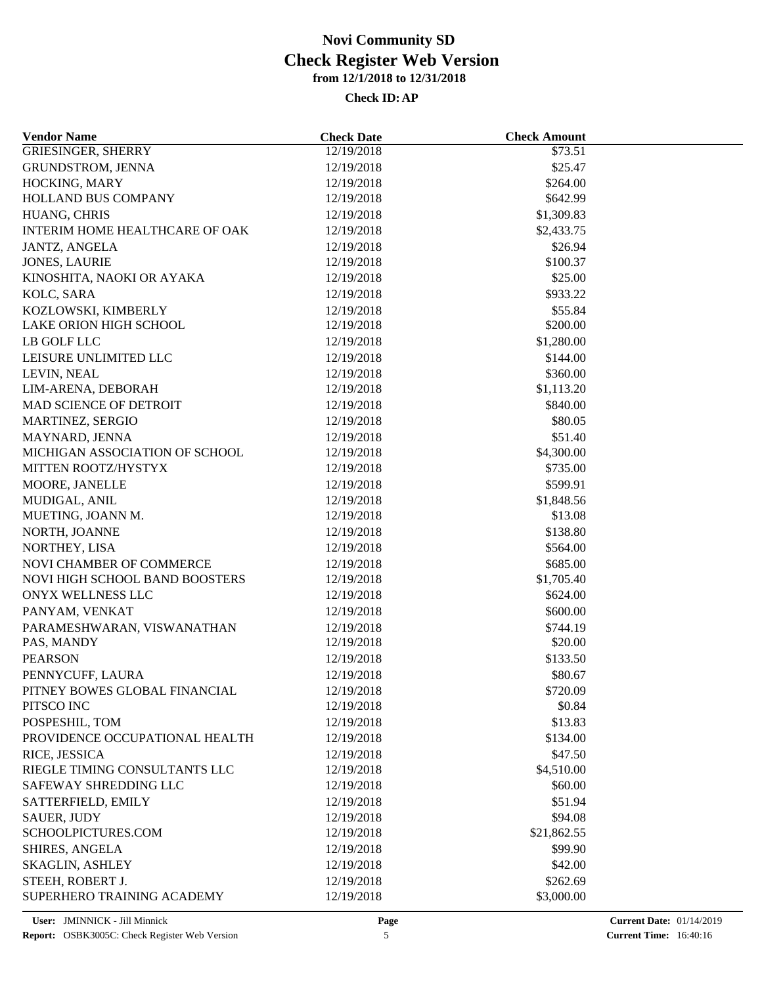| <b>GRIESINGER, SHERRY</b><br>12/19/2018<br>\$73.51<br>\$25.47<br>GRUNDSTROM, JENNA<br>12/19/2018<br>HOCKING, MARY<br>12/19/2018<br>\$264.00<br>HOLLAND BUS COMPANY<br>\$642.99<br>12/19/2018<br>HUANG, CHRIS<br>12/19/2018<br>\$1,309.83<br>INTERIM HOME HEALTHCARE OF OAK<br>12/19/2018<br>\$2,433.75<br>\$26.94<br>JANTZ, ANGELA<br>12/19/2018<br>\$100.37<br><b>JONES, LAURIE</b><br>12/19/2018<br>\$25.00<br>KINOSHITA, NAOKI OR AYAKA<br>12/19/2018<br>KOLC, SARA<br>\$933.22<br>12/19/2018<br>KOZLOWSKI, KIMBERLY<br>\$55.84<br>12/19/2018<br>LAKE ORION HIGH SCHOOL<br>\$200.00<br>12/19/2018<br>LB GOLF LLC<br>12/19/2018<br>\$1,280.00<br>LEISURE UNLIMITED LLC<br>12/19/2018<br>\$144.00<br>LEVIN, NEAL<br>\$360.00<br>12/19/2018<br>LIM-ARENA, DEBORAH<br>12/19/2018<br>\$1,113.20<br>MAD SCIENCE OF DETROIT<br>\$840.00<br>12/19/2018<br>MARTINEZ, SERGIO<br>\$80.05<br>12/19/2018<br>\$51.40<br>MAYNARD, JENNA<br>12/19/2018<br>MICHIGAN ASSOCIATION OF SCHOOL<br>\$4,300.00<br>12/19/2018<br>\$735.00<br>MITTEN ROOTZ/HYSTYX<br>12/19/2018<br>MOORE, JANELLE<br>12/19/2018<br>\$599.91<br>MUDIGAL, ANIL<br>12/19/2018<br>\$1,848.56<br>MUETING, JOANN M.<br>12/19/2018<br>\$13.08<br>\$138.80<br>NORTH, JOANNE<br>12/19/2018<br>NORTHEY, LISA<br>12/19/2018<br>\$564.00<br>NOVI CHAMBER OF COMMERCE<br>\$685.00<br>12/19/2018<br><b>NOVI HIGH SCHOOL BAND BOOSTERS</b><br>12/19/2018<br>\$1,705.40<br>ONYX WELLNESS LLC<br>12/19/2018<br>\$624.00<br>PANYAM, VENKAT<br>12/19/2018<br>\$600.00 |  |
|-------------------------------------------------------------------------------------------------------------------------------------------------------------------------------------------------------------------------------------------------------------------------------------------------------------------------------------------------------------------------------------------------------------------------------------------------------------------------------------------------------------------------------------------------------------------------------------------------------------------------------------------------------------------------------------------------------------------------------------------------------------------------------------------------------------------------------------------------------------------------------------------------------------------------------------------------------------------------------------------------------------------------------------------------------------------------------------------------------------------------------------------------------------------------------------------------------------------------------------------------------------------------------------------------------------------------------------------------------------------------------------------------------------------------------------------------------------------------------------------------------------|--|
|                                                                                                                                                                                                                                                                                                                                                                                                                                                                                                                                                                                                                                                                                                                                                                                                                                                                                                                                                                                                                                                                                                                                                                                                                                                                                                                                                                                                                                                                                                             |  |
|                                                                                                                                                                                                                                                                                                                                                                                                                                                                                                                                                                                                                                                                                                                                                                                                                                                                                                                                                                                                                                                                                                                                                                                                                                                                                                                                                                                                                                                                                                             |  |
|                                                                                                                                                                                                                                                                                                                                                                                                                                                                                                                                                                                                                                                                                                                                                                                                                                                                                                                                                                                                                                                                                                                                                                                                                                                                                                                                                                                                                                                                                                             |  |
|                                                                                                                                                                                                                                                                                                                                                                                                                                                                                                                                                                                                                                                                                                                                                                                                                                                                                                                                                                                                                                                                                                                                                                                                                                                                                                                                                                                                                                                                                                             |  |
|                                                                                                                                                                                                                                                                                                                                                                                                                                                                                                                                                                                                                                                                                                                                                                                                                                                                                                                                                                                                                                                                                                                                                                                                                                                                                                                                                                                                                                                                                                             |  |
|                                                                                                                                                                                                                                                                                                                                                                                                                                                                                                                                                                                                                                                                                                                                                                                                                                                                                                                                                                                                                                                                                                                                                                                                                                                                                                                                                                                                                                                                                                             |  |
|                                                                                                                                                                                                                                                                                                                                                                                                                                                                                                                                                                                                                                                                                                                                                                                                                                                                                                                                                                                                                                                                                                                                                                                                                                                                                                                                                                                                                                                                                                             |  |
|                                                                                                                                                                                                                                                                                                                                                                                                                                                                                                                                                                                                                                                                                                                                                                                                                                                                                                                                                                                                                                                                                                                                                                                                                                                                                                                                                                                                                                                                                                             |  |
|                                                                                                                                                                                                                                                                                                                                                                                                                                                                                                                                                                                                                                                                                                                                                                                                                                                                                                                                                                                                                                                                                                                                                                                                                                                                                                                                                                                                                                                                                                             |  |
|                                                                                                                                                                                                                                                                                                                                                                                                                                                                                                                                                                                                                                                                                                                                                                                                                                                                                                                                                                                                                                                                                                                                                                                                                                                                                                                                                                                                                                                                                                             |  |
|                                                                                                                                                                                                                                                                                                                                                                                                                                                                                                                                                                                                                                                                                                                                                                                                                                                                                                                                                                                                                                                                                                                                                                                                                                                                                                                                                                                                                                                                                                             |  |
|                                                                                                                                                                                                                                                                                                                                                                                                                                                                                                                                                                                                                                                                                                                                                                                                                                                                                                                                                                                                                                                                                                                                                                                                                                                                                                                                                                                                                                                                                                             |  |
|                                                                                                                                                                                                                                                                                                                                                                                                                                                                                                                                                                                                                                                                                                                                                                                                                                                                                                                                                                                                                                                                                                                                                                                                                                                                                                                                                                                                                                                                                                             |  |
|                                                                                                                                                                                                                                                                                                                                                                                                                                                                                                                                                                                                                                                                                                                                                                                                                                                                                                                                                                                                                                                                                                                                                                                                                                                                                                                                                                                                                                                                                                             |  |
|                                                                                                                                                                                                                                                                                                                                                                                                                                                                                                                                                                                                                                                                                                                                                                                                                                                                                                                                                                                                                                                                                                                                                                                                                                                                                                                                                                                                                                                                                                             |  |
|                                                                                                                                                                                                                                                                                                                                                                                                                                                                                                                                                                                                                                                                                                                                                                                                                                                                                                                                                                                                                                                                                                                                                                                                                                                                                                                                                                                                                                                                                                             |  |
|                                                                                                                                                                                                                                                                                                                                                                                                                                                                                                                                                                                                                                                                                                                                                                                                                                                                                                                                                                                                                                                                                                                                                                                                                                                                                                                                                                                                                                                                                                             |  |
|                                                                                                                                                                                                                                                                                                                                                                                                                                                                                                                                                                                                                                                                                                                                                                                                                                                                                                                                                                                                                                                                                                                                                                                                                                                                                                                                                                                                                                                                                                             |  |
|                                                                                                                                                                                                                                                                                                                                                                                                                                                                                                                                                                                                                                                                                                                                                                                                                                                                                                                                                                                                                                                                                                                                                                                                                                                                                                                                                                                                                                                                                                             |  |
|                                                                                                                                                                                                                                                                                                                                                                                                                                                                                                                                                                                                                                                                                                                                                                                                                                                                                                                                                                                                                                                                                                                                                                                                                                                                                                                                                                                                                                                                                                             |  |
|                                                                                                                                                                                                                                                                                                                                                                                                                                                                                                                                                                                                                                                                                                                                                                                                                                                                                                                                                                                                                                                                                                                                                                                                                                                                                                                                                                                                                                                                                                             |  |
|                                                                                                                                                                                                                                                                                                                                                                                                                                                                                                                                                                                                                                                                                                                                                                                                                                                                                                                                                                                                                                                                                                                                                                                                                                                                                                                                                                                                                                                                                                             |  |
|                                                                                                                                                                                                                                                                                                                                                                                                                                                                                                                                                                                                                                                                                                                                                                                                                                                                                                                                                                                                                                                                                                                                                                                                                                                                                                                                                                                                                                                                                                             |  |
|                                                                                                                                                                                                                                                                                                                                                                                                                                                                                                                                                                                                                                                                                                                                                                                                                                                                                                                                                                                                                                                                                                                                                                                                                                                                                                                                                                                                                                                                                                             |  |
|                                                                                                                                                                                                                                                                                                                                                                                                                                                                                                                                                                                                                                                                                                                                                                                                                                                                                                                                                                                                                                                                                                                                                                                                                                                                                                                                                                                                                                                                                                             |  |
|                                                                                                                                                                                                                                                                                                                                                                                                                                                                                                                                                                                                                                                                                                                                                                                                                                                                                                                                                                                                                                                                                                                                                                                                                                                                                                                                                                                                                                                                                                             |  |
|                                                                                                                                                                                                                                                                                                                                                                                                                                                                                                                                                                                                                                                                                                                                                                                                                                                                                                                                                                                                                                                                                                                                                                                                                                                                                                                                                                                                                                                                                                             |  |
|                                                                                                                                                                                                                                                                                                                                                                                                                                                                                                                                                                                                                                                                                                                                                                                                                                                                                                                                                                                                                                                                                                                                                                                                                                                                                                                                                                                                                                                                                                             |  |
|                                                                                                                                                                                                                                                                                                                                                                                                                                                                                                                                                                                                                                                                                                                                                                                                                                                                                                                                                                                                                                                                                                                                                                                                                                                                                                                                                                                                                                                                                                             |  |
|                                                                                                                                                                                                                                                                                                                                                                                                                                                                                                                                                                                                                                                                                                                                                                                                                                                                                                                                                                                                                                                                                                                                                                                                                                                                                                                                                                                                                                                                                                             |  |
|                                                                                                                                                                                                                                                                                                                                                                                                                                                                                                                                                                                                                                                                                                                                                                                                                                                                                                                                                                                                                                                                                                                                                                                                                                                                                                                                                                                                                                                                                                             |  |
| PARAMESHWARAN, VISWANATHAN<br>12/19/2018<br>\$744.19                                                                                                                                                                                                                                                                                                                                                                                                                                                                                                                                                                                                                                                                                                                                                                                                                                                                                                                                                                                                                                                                                                                                                                                                                                                                                                                                                                                                                                                        |  |
| PAS, MANDY<br>12/19/2018<br>\$20.00                                                                                                                                                                                                                                                                                                                                                                                                                                                                                                                                                                                                                                                                                                                                                                                                                                                                                                                                                                                                                                                                                                                                                                                                                                                                                                                                                                                                                                                                         |  |
| <b>PEARSON</b><br>\$133.50<br>12/19/2018                                                                                                                                                                                                                                                                                                                                                                                                                                                                                                                                                                                                                                                                                                                                                                                                                                                                                                                                                                                                                                                                                                                                                                                                                                                                                                                                                                                                                                                                    |  |
| PENNYCUFF, LAURA<br>\$80.67<br>12/19/2018                                                                                                                                                                                                                                                                                                                                                                                                                                                                                                                                                                                                                                                                                                                                                                                                                                                                                                                                                                                                                                                                                                                                                                                                                                                                                                                                                                                                                                                                   |  |
| \$720.09<br>PITNEY BOWES GLOBAL FINANCIAL<br>12/19/2018                                                                                                                                                                                                                                                                                                                                                                                                                                                                                                                                                                                                                                                                                                                                                                                                                                                                                                                                                                                                                                                                                                                                                                                                                                                                                                                                                                                                                                                     |  |
| PITSCO INC<br>12/19/2018<br>\$0.84                                                                                                                                                                                                                                                                                                                                                                                                                                                                                                                                                                                                                                                                                                                                                                                                                                                                                                                                                                                                                                                                                                                                                                                                                                                                                                                                                                                                                                                                          |  |
| \$13.83<br>POSPESHIL, TOM<br>12/19/2018                                                                                                                                                                                                                                                                                                                                                                                                                                                                                                                                                                                                                                                                                                                                                                                                                                                                                                                                                                                                                                                                                                                                                                                                                                                                                                                                                                                                                                                                     |  |
| PROVIDENCE OCCUPATIONAL HEALTH<br>12/19/2018<br>\$134.00                                                                                                                                                                                                                                                                                                                                                                                                                                                                                                                                                                                                                                                                                                                                                                                                                                                                                                                                                                                                                                                                                                                                                                                                                                                                                                                                                                                                                                                    |  |
| RICE, JESSICA<br>\$47.50<br>12/19/2018                                                                                                                                                                                                                                                                                                                                                                                                                                                                                                                                                                                                                                                                                                                                                                                                                                                                                                                                                                                                                                                                                                                                                                                                                                                                                                                                                                                                                                                                      |  |
| RIEGLE TIMING CONSULTANTS LLC<br>\$4,510.00<br>12/19/2018                                                                                                                                                                                                                                                                                                                                                                                                                                                                                                                                                                                                                                                                                                                                                                                                                                                                                                                                                                                                                                                                                                                                                                                                                                                                                                                                                                                                                                                   |  |
| SAFEWAY SHREDDING LLC<br>\$60.00<br>12/19/2018                                                                                                                                                                                                                                                                                                                                                                                                                                                                                                                                                                                                                                                                                                                                                                                                                                                                                                                                                                                                                                                                                                                                                                                                                                                                                                                                                                                                                                                              |  |
| \$51.94<br>SATTERFIELD, EMILY<br>12/19/2018                                                                                                                                                                                                                                                                                                                                                                                                                                                                                                                                                                                                                                                                                                                                                                                                                                                                                                                                                                                                                                                                                                                                                                                                                                                                                                                                                                                                                                                                 |  |
| SAUER, JUDY<br>\$94.08<br>12/19/2018                                                                                                                                                                                                                                                                                                                                                                                                                                                                                                                                                                                                                                                                                                                                                                                                                                                                                                                                                                                                                                                                                                                                                                                                                                                                                                                                                                                                                                                                        |  |
| SCHOOLPICTURES.COM<br>12/19/2018<br>\$21,862.55                                                                                                                                                                                                                                                                                                                                                                                                                                                                                                                                                                                                                                                                                                                                                                                                                                                                                                                                                                                                                                                                                                                                                                                                                                                                                                                                                                                                                                                             |  |
| <b>SHIRES, ANGELA</b><br>12/19/2018<br>\$99.90                                                                                                                                                                                                                                                                                                                                                                                                                                                                                                                                                                                                                                                                                                                                                                                                                                                                                                                                                                                                                                                                                                                                                                                                                                                                                                                                                                                                                                                              |  |
| <b>SKAGLIN, ASHLEY</b><br>12/19/2018<br>\$42.00                                                                                                                                                                                                                                                                                                                                                                                                                                                                                                                                                                                                                                                                                                                                                                                                                                                                                                                                                                                                                                                                                                                                                                                                                                                                                                                                                                                                                                                             |  |
| STEEH, ROBERT J.<br>12/19/2018<br>\$262.69                                                                                                                                                                                                                                                                                                                                                                                                                                                                                                                                                                                                                                                                                                                                                                                                                                                                                                                                                                                                                                                                                                                                                                                                                                                                                                                                                                                                                                                                  |  |
| SUPERHERO TRAINING ACADEMY<br>\$3,000.00<br>12/19/2018                                                                                                                                                                                                                                                                                                                                                                                                                                                                                                                                                                                                                                                                                                                                                                                                                                                                                                                                                                                                                                                                                                                                                                                                                                                                                                                                                                                                                                                      |  |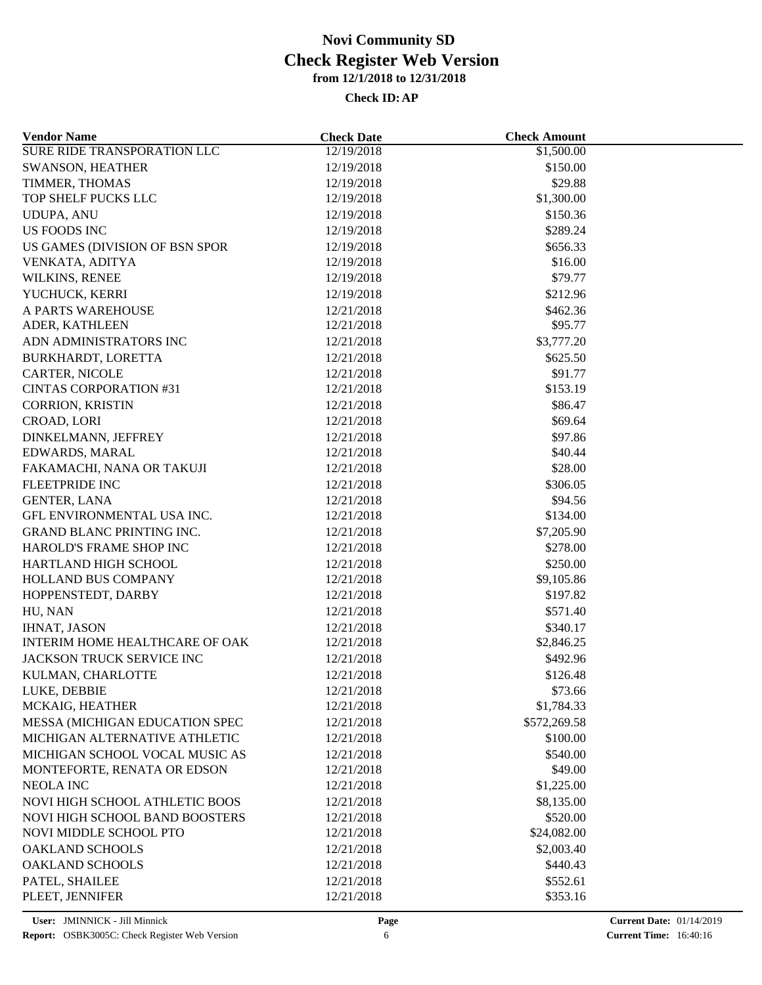| <b>Vendor Name</b>                          | <b>Check Date</b>        | <b>Check Amount</b>    |  |
|---------------------------------------------|--------------------------|------------------------|--|
| <b>SURE RIDE TRANSPORATION LLC</b>          | 12/19/2018               | \$1,500.00             |  |
| <b>SWANSON, HEATHER</b>                     | 12/19/2018               | \$150.00               |  |
| TIMMER, THOMAS                              | 12/19/2018               | \$29.88                |  |
| TOP SHELF PUCKS LLC                         | 12/19/2018               | \$1,300.00             |  |
| <b>UDUPA, ANU</b>                           | 12/19/2018               | \$150.36               |  |
| <b>US FOODS INC</b>                         | 12/19/2018               | \$289.24               |  |
| US GAMES (DIVISION OF BSN SPOR              | 12/19/2018               | \$656.33               |  |
| VENKATA, ADITYA                             | 12/19/2018               | \$16.00                |  |
| WILKINS, RENEE                              | 12/19/2018               | \$79.77                |  |
| YUCHUCK, KERRI                              | 12/19/2018               | \$212.96               |  |
| A PARTS WAREHOUSE                           | 12/21/2018               | \$462.36               |  |
| ADER, KATHLEEN                              | 12/21/2018               | \$95.77                |  |
| ADN ADMINISTRATORS INC                      | 12/21/2018               | \$3,777.20             |  |
| BURKHARDT, LORETTA                          | 12/21/2018               | \$625.50               |  |
| CARTER, NICOLE                              | 12/21/2018               | \$91.77                |  |
| <b>CINTAS CORPORATION #31</b>               | 12/21/2018               | \$153.19               |  |
| <b>CORRION, KRISTIN</b>                     | 12/21/2018               | \$86.47                |  |
| CROAD, LORI                                 | 12/21/2018               | \$69.64                |  |
| DINKELMANN, JEFFREY                         | 12/21/2018               | \$97.86                |  |
| EDWARDS, MARAL                              | 12/21/2018               | \$40.44                |  |
| FAKAMACHI, NANA OR TAKUJI                   | 12/21/2018               | \$28.00                |  |
| <b>FLEETPRIDE INC</b>                       | 12/21/2018               | \$306.05               |  |
| <b>GENTER, LANA</b>                         | 12/21/2018               | \$94.56                |  |
| GFL ENVIRONMENTAL USA INC.                  | 12/21/2018               | \$134.00               |  |
| <b>GRAND BLANC PRINTING INC.</b>            | 12/21/2018               | \$7,205.90             |  |
| HAROLD'S FRAME SHOP INC                     | 12/21/2018               | \$278.00               |  |
|                                             |                          |                        |  |
| HARTLAND HIGH SCHOOL<br>HOLLAND BUS COMPANY | 12/21/2018<br>12/21/2018 | \$250.00<br>\$9,105.86 |  |
| HOPPENSTEDT, DARBY                          |                          |                        |  |
|                                             | 12/21/2018               | \$197.82               |  |
| HU, NAN                                     | 12/21/2018               | \$571.40               |  |
| <b>IHNAT, JASON</b>                         | 12/21/2018               | \$340.17               |  |
| INTERIM HOME HEALTHCARE OF OAK              | 12/21/2018               | \$2,846.25             |  |
| JACKSON TRUCK SERVICE INC                   | 12/21/2018               | \$492.96               |  |
| KULMAN, CHARLOTTE                           | 12/21/2018               | \$126.48               |  |
| LUKE, DEBBIE                                | 12/21/2018               | \$73.66                |  |
| MCKAIG, HEATHER                             | 12/21/2018               | \$1,784.33             |  |
| MESSA (MICHIGAN EDUCATION SPEC              | 12/21/2018               | \$572,269.58           |  |
| MICHIGAN ALTERNATIVE ATHLETIC               | 12/21/2018               | \$100.00               |  |
| MICHIGAN SCHOOL VOCAL MUSIC AS              | 12/21/2018               | \$540.00               |  |
| MONTEFORTE, RENATA OR EDSON                 | 12/21/2018               | \$49.00                |  |
| <b>NEOLA INC</b>                            | 12/21/2018               | \$1,225.00             |  |
| NOVI HIGH SCHOOL ATHLETIC BOOS              | 12/21/2018               | \$8,135.00             |  |
| NOVI HIGH SCHOOL BAND BOOSTERS              | 12/21/2018               | \$520.00               |  |
| NOVI MIDDLE SCHOOL PTO                      | 12/21/2018               | \$24,082.00            |  |
| <b>OAKLAND SCHOOLS</b>                      | 12/21/2018               | \$2,003.40             |  |
| <b>OAKLAND SCHOOLS</b>                      | 12/21/2018               | \$440.43               |  |
| PATEL, SHAILEE                              | 12/21/2018               | \$552.61               |  |
| PLEET, JENNIFER                             | 12/21/2018               | \$353.16               |  |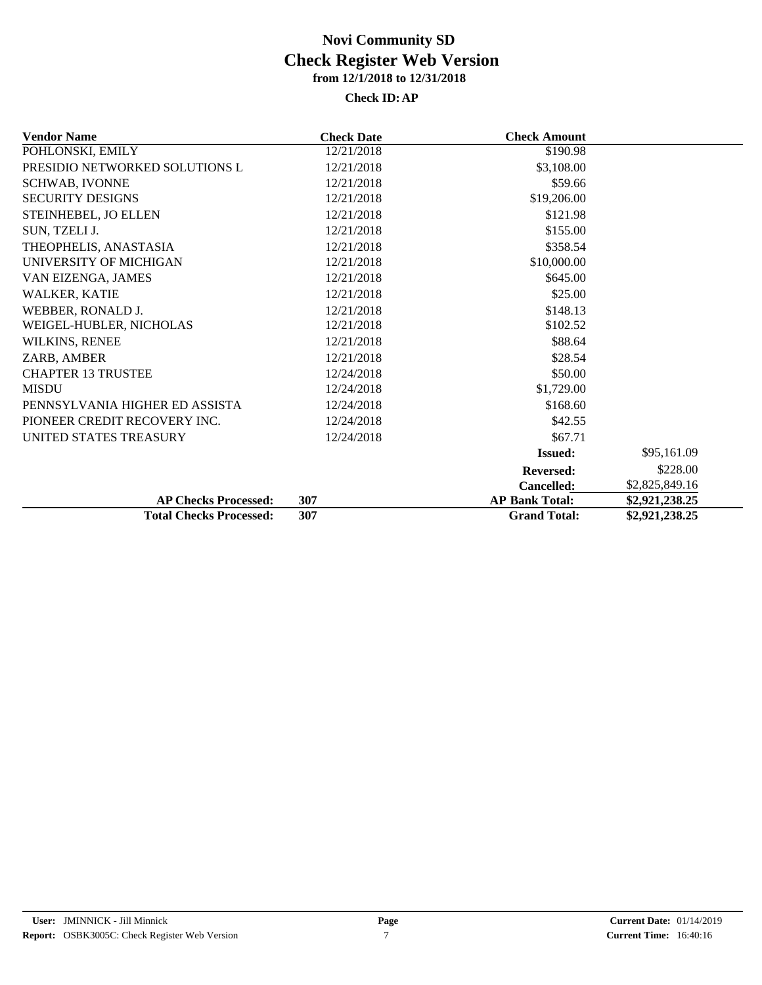| <b>Vendor Name</b>             | <b>Check Date</b> | <b>Check Amount</b>   |                |
|--------------------------------|-------------------|-----------------------|----------------|
| POHLONSKI, EMILY               | 12/21/2018        | \$190.98              |                |
| PRESIDIO NETWORKED SOLUTIONS L | 12/21/2018        | \$3,108.00            |                |
| <b>SCHWAB, IVONNE</b>          | 12/21/2018        | \$59.66               |                |
| <b>SECURITY DESIGNS</b>        | 12/21/2018        | \$19,206.00           |                |
| STEINHEBEL, JO ELLEN           | 12/21/2018        | \$121.98              |                |
| SUN, TZELI J.                  | 12/21/2018        | \$155.00              |                |
| THEOPHELIS, ANASTASIA          | 12/21/2018        | \$358.54              |                |
| UNIVERSITY OF MICHIGAN         | 12/21/2018        | \$10,000.00           |                |
| VAN EIZENGA, JAMES             | 12/21/2018        | \$645.00              |                |
| <b>WALKER, KATIE</b>           | 12/21/2018        | \$25.00               |                |
| WEBBER, RONALD J.              | 12/21/2018        | \$148.13              |                |
| WEIGEL-HUBLER, NICHOLAS        | 12/21/2018        | \$102.52              |                |
| WILKINS, RENEE                 | 12/21/2018        | \$88.64               |                |
| ZARB, AMBER                    | 12/21/2018        | \$28.54               |                |
| <b>CHAPTER 13 TRUSTEE</b>      | 12/24/2018        | \$50.00               |                |
| <b>MISDU</b>                   | 12/24/2018        | \$1,729.00            |                |
| PENNSYLVANIA HIGHER ED ASSISTA | 12/24/2018        | \$168.60              |                |
| PIONEER CREDIT RECOVERY INC.   | 12/24/2018        | \$42.55               |                |
| <b>UNITED STATES TREASURY</b>  | 12/24/2018        | \$67.71               |                |
|                                |                   | <b>Issued:</b>        | \$95,161.09    |
|                                |                   | <b>Reversed:</b>      | \$228.00       |
|                                |                   | Cancelled:            | \$2,825,849.16 |
| <b>AP Checks Processed:</b>    | 307               | <b>AP Bank Total:</b> | \$2,921,238.25 |
| <b>Total Checks Processed:</b> | 307               | <b>Grand Total:</b>   | \$2,921,238.25 |